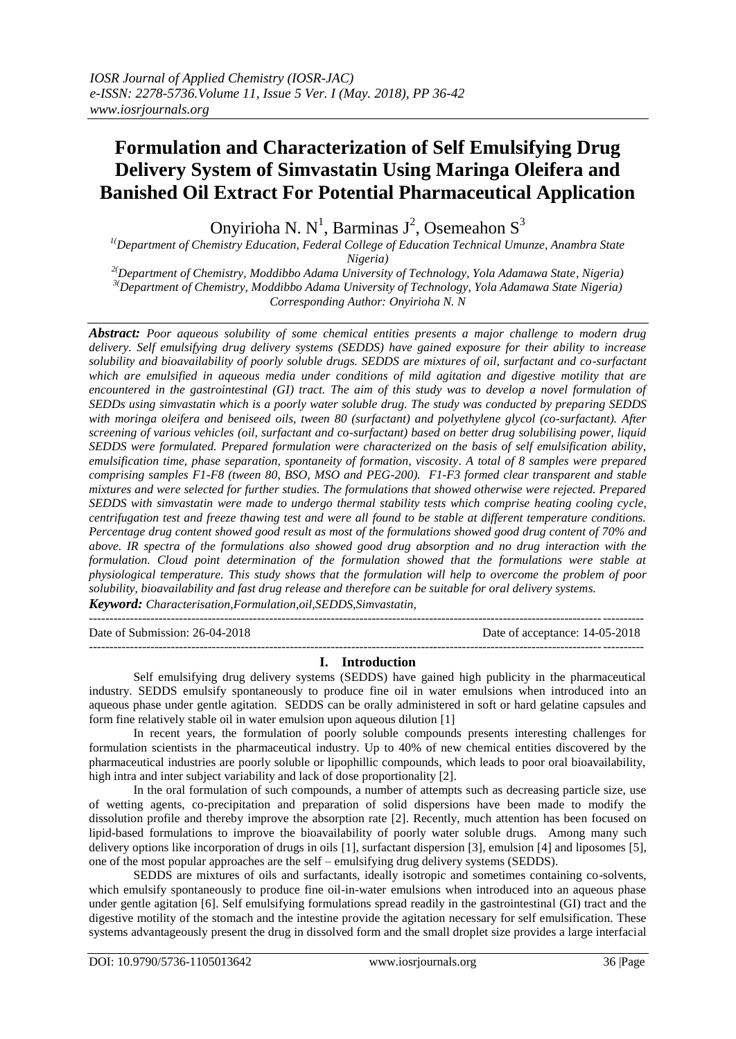## **Formulation and Characterization of Self Emulsifying Drug Delivery System of Simvastatin Using Maringa Oleifera and Banished Oil Extract For Potential Pharmaceutical Application**

Onyirioha N. N<sup>1</sup>, Barminas J<sup>2</sup>, Osemeahon S<sup>3</sup>

*1(Department of Chemistry Education, Federal College of Education Technical Umunze, Anambra State Nigeria)*

*2(Department of Chemistry, Moddibbo Adama University of Technology, Yola Adamawa State, Nigeria) 3(Department of Chemistry, Moddibbo Adama University of Technology, Yola Adamawa State Nigeria) Corresponding Author: Onyirioha N. N*

*Abstract: Poor aqueous solubility of some chemical entities presents a major challenge to modern drug delivery. Self emulsifying drug delivery systems (SEDDS) have gained exposure for their ability to increase*  solubility and bioavailability of poorly soluble drugs. SEDDS are mixtures of oil, surfactant and co-surfactant *which are emulsified in aqueous media under conditions of mild agitation and digestive motility that are encountered in the gastrointestinal (GI) tract. The aim of this study was to develop a novel formulation of SEDDs using simvastatin which is a poorly water soluble drug. The study was conducted by preparing SEDDS with moringa oleifera and beniseed oils, tween 80 (surfactant) and polyethylene glycol (co-surfactant). After screening of various vehicles (oil, surfactant and co-surfactant) based on better drug solubilising power, liquid SEDDS were formulated. Prepared formulation were characterized on the basis of self emulsification ability, emulsification time, phase separation, spontaneity of formation, viscosity. A total of 8 samples were prepared comprising samples F1-F8 (tween 80, BSO, MSO and PEG-200). F1-F3 formed clear transparent and stable mixtures and were selected for further studies. The formulations that showed otherwise were rejected. Prepared SEDDS with simvastatin were made to undergo thermal stability tests which comprise heating cooling cycle, centrifugation test and freeze thawing test and were all found to be stable at different temperature conditions. Percentage drug content showed good result as most of the formulations showed good drug content of 70% and above. IR spectra of the formulations also showed good drug absorption and no drug interaction with the formulation. Cloud point determination of the formulation showed that the formulations were stable at physiological temperature. This study shows that the formulation will help to overcome the problem of poor solubility, bioavailability and fast drug release and therefore can be suitable for oral delivery systems.*

*Keyword: Characterisation,Formulation,oil,SEDDS,Simvastatin,* ---------------------------------------------------------------------------------------------------------------------------------------

---------------------------------------------------------------------------------------------------------------------------------------

Date of Submission: 26-04-2018 Date of acceptance: 14-05-2018

#### **I. Introduction**

Self emulsifying drug delivery systems (SEDDS) have gained high publicity in the pharmaceutical industry. SEDDS emulsify spontaneously to produce fine oil in water emulsions when introduced into an aqueous phase under gentle agitation. SEDDS can be orally administered in soft or hard gelatine capsules and form fine relatively stable oil in water emulsion upon aqueous dilution [1]

In recent years, the formulation of poorly soluble compounds presents interesting challenges for formulation scientists in the pharmaceutical industry. Up to 40% of new chemical entities discovered by the pharmaceutical industries are poorly soluble or lipophillic compounds, which leads to poor oral bioavailability, high intra and inter subject variability and lack of dose proportionality [2].

In the oral formulation of such compounds, a number of attempts such as decreasing particle size, use of wetting agents, co-precipitation and preparation of solid dispersions have been made to modify the dissolution profile and thereby improve the absorption rate [2]. Recently, much attention has been focused on lipid-based formulations to improve the bioavailability of poorly water soluble drugs. Among many such delivery options like incorporation of drugs in oils [1], surfactant dispersion [3], emulsion [4] and liposomes [5], one of the most popular approaches are the self – emulsifying drug delivery systems (SEDDS).

SEDDS are mixtures of oils and surfactants, ideally isotropic and sometimes containing co-solvents, which emulsify spontaneously to produce fine oil-in-water emulsions when introduced into an aqueous phase under gentle agitation [6]. Self emulsifying formulations spread readily in the gastrointestinal (GI) tract and the digestive motility of the stomach and the intestine provide the agitation necessary for self emulsification. These systems advantageously present the drug in dissolved form and the small droplet size provides a large interfacial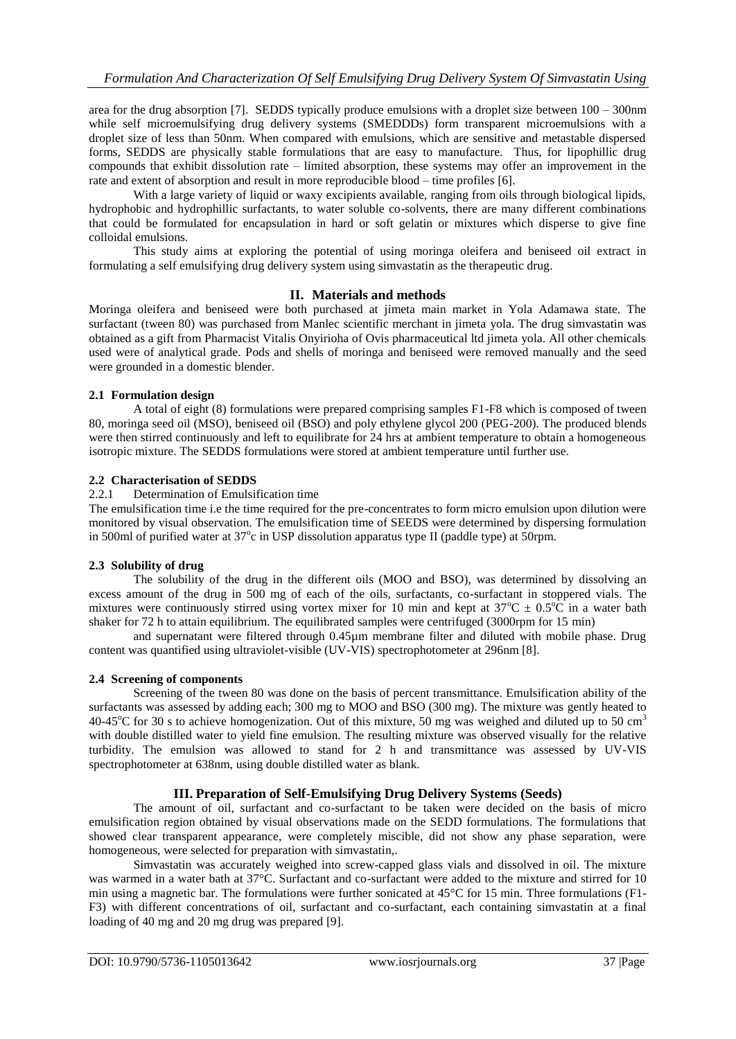area for the drug absorption [7]. SEDDS typically produce emulsions with a droplet size between 100 – 300nm while self microemulsifying drug delivery systems (SMEDDDs) form transparent microemulsions with a droplet size of less than 50nm. When compared with emulsions, which are sensitive and metastable dispersed forms, SEDDS are physically stable formulations that are easy to manufacture. Thus, for lipophillic drug compounds that exhibit dissolution rate – limited absorption, these systems may offer an improvement in the rate and extent of absorption and result in more reproducible blood – time profiles [6].

With a large variety of liquid or waxy excipients available, ranging from oils through biological lipids, hydrophobic and hydrophillic surfactants, to water soluble co-solvents, there are many different combinations that could be formulated for encapsulation in hard or soft gelatin or mixtures which disperse to give fine colloidal emulsions.

This study aims at exploring the potential of using moringa oleifera and beniseed oil extract in formulating a self emulsifying drug delivery system using simvastatin as the therapeutic drug.

## **II. Materials and methods**

Moringa oleifera and beniseed were both purchased at jimeta main market in Yola Adamawa state. The surfactant (tween 80) was purchased from Manlec scientific merchant in jimeta yola. The drug simvastatin was obtained as a gift from Pharmacist Vitalis Onyirioha of Ovis pharmaceutical ltd jimeta yola. All other chemicals used were of analytical grade. Pods and shells of moringa and beniseed were removed manually and the seed were grounded in a domestic blender.

#### **2.1 Formulation design**

A total of eight (8) formulations were prepared comprising samples F1-F8 which is composed of tween 80, moringa seed oil (MSO), beniseed oil (BSO) and poly ethylene glycol 200 (PEG-200). The produced blends were then stirred continuously and left to equilibrate for 24 hrs at ambient temperature to obtain a homogeneous isotropic mixture. The SEDDS formulations were stored at ambient temperature until further use.

## **2.2 Characterisation of SEDDS**

2.2.1 Determination of Emulsification time

The emulsification time i.e the time required for the pre-concentrates to form micro emulsion upon dilution were monitored by visual observation. The emulsification time of SEEDS were determined by dispersing formulation in 500ml of purified water at 37°c in USP dissolution apparatus type II (paddle type) at 50rpm.

## **2.3 Solubility of drug**

The solubility of the drug in the different oils (MOO and BSO), was determined by dissolving an excess amount of the drug in 500 mg of each of the oils, surfactants, co-surfactant in stoppered vials. The mixtures were continuously stirred using vortex mixer for 10 min and kept at  $37^{\circ}C \pm 0.5^{\circ}C$  in a water bath shaker for 72 h to attain equilibrium. The equilibrated samples were centrifuged (3000rpm for 15 min)

and supernatant were filtered through 0.45µm membrane filter and diluted with mobile phase. Drug content was quantified using ultraviolet-visible (UV-VIS) spectrophotometer at 296nm [8].

## **2.4 Screening of components**

Screening of the tween 80 was done on the basis of percent transmittance. Emulsification ability of the surfactants was assessed by adding each; 300 mg to MOO and BSO (300 mg). The mixture was gently heated to 40-45<sup>o</sup>C for 30 s to achieve homogenization. Out of this mixture, 50 mg was weighed and diluted up to 50 cm<sup>3</sup> with double distilled water to yield fine emulsion. The resulting mixture was observed visually for the relative turbidity. The emulsion was allowed to stand for 2 h and transmittance was assessed by UV-VIS spectrophotometer at 638nm, using double distilled water as blank.

## **III. Preparation of Self-Emulsifying Drug Delivery Systems (Seeds)**

The amount of oil, surfactant and co-surfactant to be taken were decided on the basis of micro emulsification region obtained by visual observations made on the SEDD formulations. The formulations that showed clear transparent appearance, were completely miscible, did not show any phase separation, were homogeneous, were selected for preparation with simvastatin,.

Simvastatin was accurately weighed into screw-capped glass vials and dissolved in oil. The mixture was warmed in a water bath at 37°C. Surfactant and co-surfactant were added to the mixture and stirred for 10 min using a magnetic bar. The formulations were further sonicated at 45°C for 15 min. Three formulations (F1- F3) with different concentrations of oil, surfactant and co-surfactant, each containing simvastatin at a final loading of 40 mg and 20 mg drug was prepared [9].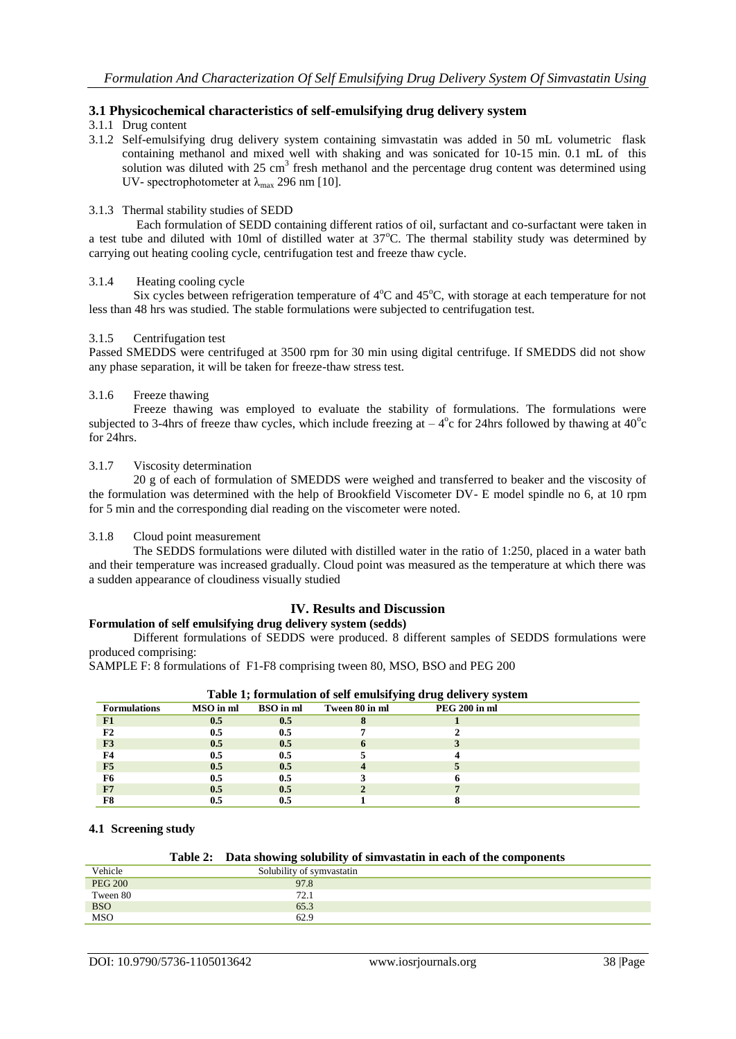## **3.1 Physicochemical characteristics of self-emulsifying drug delivery system**

## 3.1.1 Drug content

3.1.2 Self-emulsifying drug delivery system containing simvastatin was added in 50 mL volumetric flask containing methanol and mixed well with shaking and was sonicated for 10-15 min. 0.1 mL of this solution was diluted with 25 cm<sup>3</sup> fresh methanol and the percentage drug content was determined using UV- spectrophotometer at  $\lambda_{\text{max}}$  296 nm [10].

#### 3.1.3 Thermal stability studies of SEDD

Each formulation of SEDD containing different ratios of oil, surfactant and co-surfactant were taken in a test tube and diluted with 10ml of distilled water at  $37^{\circ}$ C. The thermal stability study was determined by carrying out heating cooling cycle, centrifugation test and freeze thaw cycle.

## 3.1.4 Heating cooling cycle

Six cycles between refrigeration temperature of 4°C and 45°C, with storage at each temperature for not less than 48 hrs was studied. The stable formulations were subjected to centrifugation test.

#### 3.1.5 Centrifugation test

Passed SMEDDS were centrifuged at 3500 rpm for 30 min using digital centrifuge. If SMEDDS did not show any phase separation, it will be taken for freeze-thaw stress test.

## 3.1.6 Freeze thawing

Freeze thawing was employed to evaluate the stability of formulations. The formulations were subjected to 3-4hrs of freeze thaw cycles, which include freezing at  $-4^{\circ}$ c for 24hrs followed by thawing at  $40^{\circ}$ c for 24hrs.

## 3.1.7 Viscosity determination

20 g of each of formulation of SMEDDS were weighed and transferred to beaker and the viscosity of the formulation was determined with the help of Brookfield Viscometer DV- E model spindle no 6, at 10 rpm for 5 min and the corresponding dial reading on the viscometer were noted.

#### 3.1.8 Cloud point measurement

The SEDDS formulations were diluted with distilled water in the ratio of 1:250, placed in a water bath and their temperature was increased gradually. Cloud point was measured as the temperature at which there was a sudden appearance of cloudiness visually studied

## **IV. Results and Discussion**

## **Formulation of self emulsifying drug delivery system (sedds)**

Different formulations of SEDDS were produced. 8 different samples of SEDDS formulations were produced comprising:

SAMPLE F: 8 formulations of F1-F8 comprising tween 80, MSO, BSO and PEG 200

| Table 1; formulation of self emulsifying drug delivery system |           |                  |                |                      |  |  |  |
|---------------------------------------------------------------|-----------|------------------|----------------|----------------------|--|--|--|
| <b>Formulations</b>                                           | MSO in ml | <b>BSO</b> in ml | Tween 80 in ml | <b>PEG 200 in ml</b> |  |  |  |
| F1                                                            | $0.5\,$   | 0.5              |                |                      |  |  |  |
| $_{\rm F2}$                                                   | 0.5       | 0.5              |                |                      |  |  |  |
| F3                                                            | 0.5       | 0.5              |                |                      |  |  |  |
|                                                               | 0.5       | 0.5              |                |                      |  |  |  |
| F5                                                            | 0.5       | 0.5              |                |                      |  |  |  |
| F6                                                            | 0.5       | 0.5              |                |                      |  |  |  |
| F7                                                            | $0.5\,$   | $0.5\,$          |                |                      |  |  |  |
|                                                               |           |                  |                |                      |  |  |  |

#### **4.1 Screening study**

#### **Table 2: Data showing solubility of simvastatin in each of the components**

| Vehicle        | Solubility of symvastatin |  |
|----------------|---------------------------|--|
| <b>PEG 200</b> | 97.8                      |  |
| Tween 80       | 72.1                      |  |
| BSO<br>MSO     | 65.3                      |  |
|                | 62.9                      |  |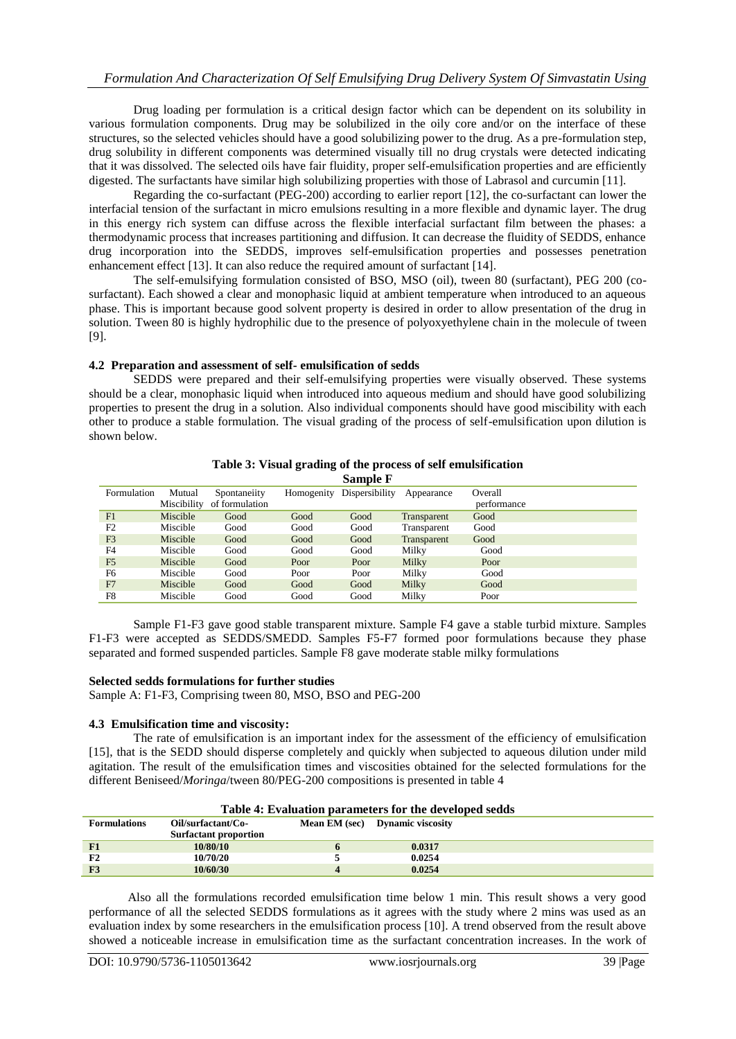Drug loading per formulation is a critical design factor which can be dependent on its solubility in various formulation components. Drug may be solubilized in the oily core and/or on the interface of these structures, so the selected vehicles should have a good solubilizing power to the drug. As a pre-formulation step, drug solubility in different components was determined visually till no drug crystals were detected indicating that it was dissolved. The selected oils have fair fluidity, proper self-emulsification properties and are efficiently digested. The surfactants have similar high solubilizing properties with those of Labrasol and curcumin [11].

Regarding the co-surfactant (PEG-200) according to earlier report [12], the co-surfactant can lower the interfacial tension of the surfactant in micro emulsions resulting in a more flexible and dynamic layer. The drug in this energy rich system can diffuse across the flexible interfacial surfactant film between the phases: a thermodynamic process that increases partitioning and diffusion. It can decrease the fluidity of SEDDS, enhance drug incorporation into the SEDDS, improves self-emulsification properties and possesses penetration enhancement effect [13]. It can also reduce the required amount of surfactant [14].

The self-emulsifying formulation consisted of BSO, MSO (oil), tween 80 (surfactant), PEG 200 (cosurfactant). Each showed a clear and monophasic liquid at ambient temperature when introduced to an aqueous phase. This is important because good solvent property is desired in order to allow presentation of the drug in solution. Tween 80 is highly hydrophilic due to the presence of polyoxyethylene chain in the molecule of tween [9].

## **4.2 Preparation and assessment of self- emulsification of sedds**

SEDDS were prepared and their self-emulsifying properties were visually observed. These systems should be a clear, monophasic liquid when introduced into aqueous medium and should have good solubilizing properties to present the drug in a solution. Also individual components should have good miscibility with each other to produce a stable formulation. The visual grading of the process of self-emulsification upon dilution is shown below.

|                |          |                            |      | Sample F                  |             |             |  |
|----------------|----------|----------------------------|------|---------------------------|-------------|-------------|--|
| Formulation    | Mutual   | Spontaneiity               |      | Homogenity Dispersibility | Appearance  | Overall     |  |
|                |          | Miscibility of formulation |      |                           |             | performance |  |
| F1             | Miscible | Good                       | Good | Good                      | Transparent | Good        |  |
| F2             | Miscible | Good                       | Good | Good                      | Transparent | Good        |  |
| F <sub>3</sub> | Miscible | Good                       | Good | Good                      | Transparent | Good        |  |
| F <sub>4</sub> | Miscible | Good                       | Good | Good                      | Milky       | Good        |  |
| F <sub>5</sub> | Miscible | Good                       | Poor | Poor                      | Milky       | Poor        |  |
| F <sub>6</sub> | Miscible | Good                       | Poor | Poor                      | Milky       | Good        |  |
| F <sub>7</sub> | Miscible | Good                       | Good | Good                      | Milky       | Good        |  |
| F8             | Miscible | Good                       | Good | Good                      | Milky       | Poor        |  |

# **Table 3: Visual grading of the process of self emulsification**

Sample F1-F3 gave good stable transparent mixture. Sample F4 gave a stable turbid mixture. Samples F1-F3 were accepted as SEDDS/SMEDD. Samples F5-F7 formed poor formulations because they phase separated and formed suspended particles. Sample F8 gave moderate stable milky formulations

## **Selected sedds formulations for further studies**

Sample A: F1-F3, Comprising tween 80, MSO, BSO and PEG-200

#### **4.3 Emulsification time and viscosity:**

The rate of emulsification is an important index for the assessment of the efficiency of emulsification [15], that is the SEDD should disperse completely and quickly when subjected to aqueous dilution under mild agitation. The result of the emulsification times and viscosities obtained for the selected formulations for the different Beniseed/*Moringa*/tween 80/PEG-200 compositions is presented in table 4

| Table 4: Evaluation parameters for the developed sedds |                                                    |  |                                 |  |  |  |
|--------------------------------------------------------|----------------------------------------------------|--|---------------------------------|--|--|--|
| <b>Formulations</b>                                    | Oil/surfactant/Co-<br><b>Surfactant proportion</b> |  | Mean EM (sec) Dynamic viscosity |  |  |  |
|                                                        |                                                    |  |                                 |  |  |  |
| F1                                                     | 10/80/10                                           |  | 0.0317                          |  |  |  |
| F <sub>2</sub>                                         | 10/70/20                                           |  | 0.0254                          |  |  |  |
| F3                                                     | 10/60/30                                           |  | 0.0254                          |  |  |  |

#### Also all the formulations recorded emulsification time below 1 min. This result shows a very good performance of all the selected SEDDS formulations as it agrees with the study where 2 mins was used as an evaluation index by some researchers in the emulsification process [10]. A trend observed from the result above showed a noticeable increase in emulsification time as the surfactant concentration increases. In the work of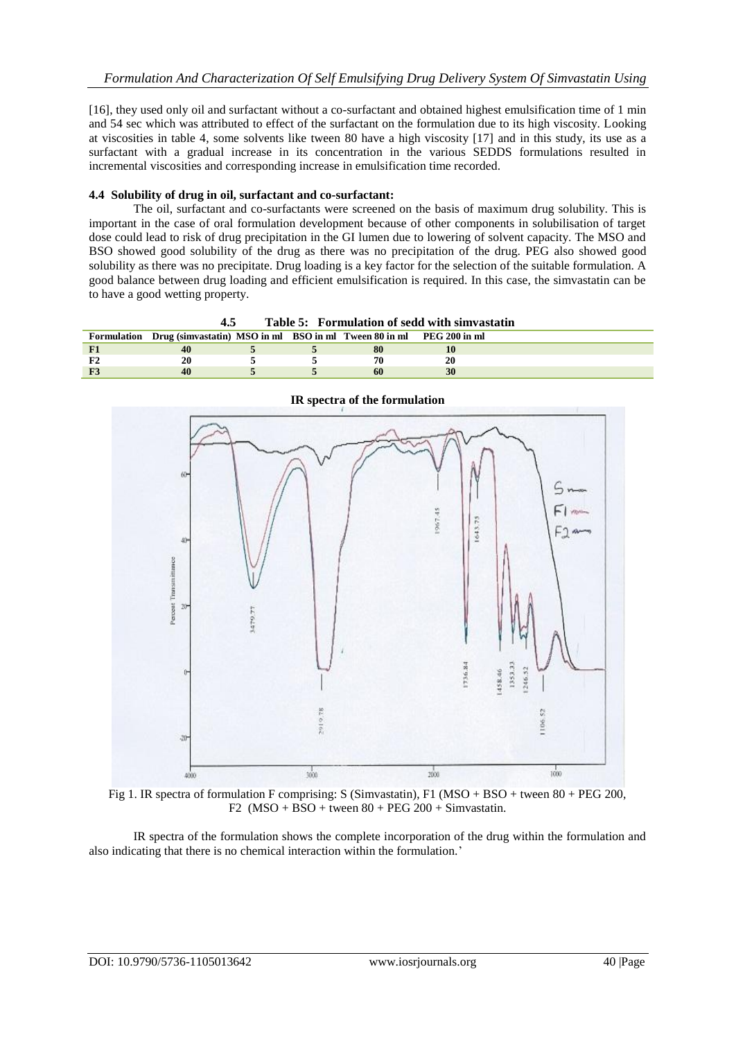[16], they used only oil and surfactant without a co-surfactant and obtained highest emulsification time of 1 min and 54 sec which was attributed to effect of the surfactant on the formulation due to its high viscosity. Looking at viscosities in table 4, some solvents like tween 80 have a high viscosity [17] and in this study, its use as a surfactant with a gradual increase in its concentration in the various SEDDS formulations resulted in incremental viscosities and corresponding increase in emulsification time recorded.

## **4.4 Solubility of drug in oil, surfactant and co-surfactant:**

The oil, surfactant and co-surfactants were screened on the basis of maximum drug solubility. This is important in the case of oral formulation development because of other components in solubilisation of target dose could lead to risk of drug precipitation in the GI lumen due to lowering of solvent capacity. The MSO and BSO showed good solubility of the drug as there was no precipitation of the drug. PEG also showed good solubility as there was no precipitate. Drug loading is a key factor for the selection of the suitable formulation. A good balance between drug loading and efficient emulsification is required. In this case, the simvastatin can be to have a good wetting property.

| Table 5: Formulation of sedd with simvastatin<br>4.5 |                                                                                 |  |  |    |    |  |
|------------------------------------------------------|---------------------------------------------------------------------------------|--|--|----|----|--|
|                                                      | Formulation Drug (simvastatin) MSO in ml BSO in ml Tween 80 in ml PEG 200 in ml |  |  |    |    |  |
|                                                      |                                                                                 |  |  | 80 |    |  |
|                                                      | 20                                                                              |  |  | 70 | 20 |  |
|                                                      | 40                                                                              |  |  | 60 |    |  |



**IR spectra of the formulation**

Fig 1. IR spectra of formulation F comprising: S (Simvastatin), F1 (MSO + BSO + tween 80 + PEG 200, F2  $(MSO + BSO +$  tween  $80 + PEG 200 +$  Simvastatin.

IR spectra of the formulation shows the complete incorporation of the drug within the formulation and also indicating that there is no chemical interaction within the formulation.'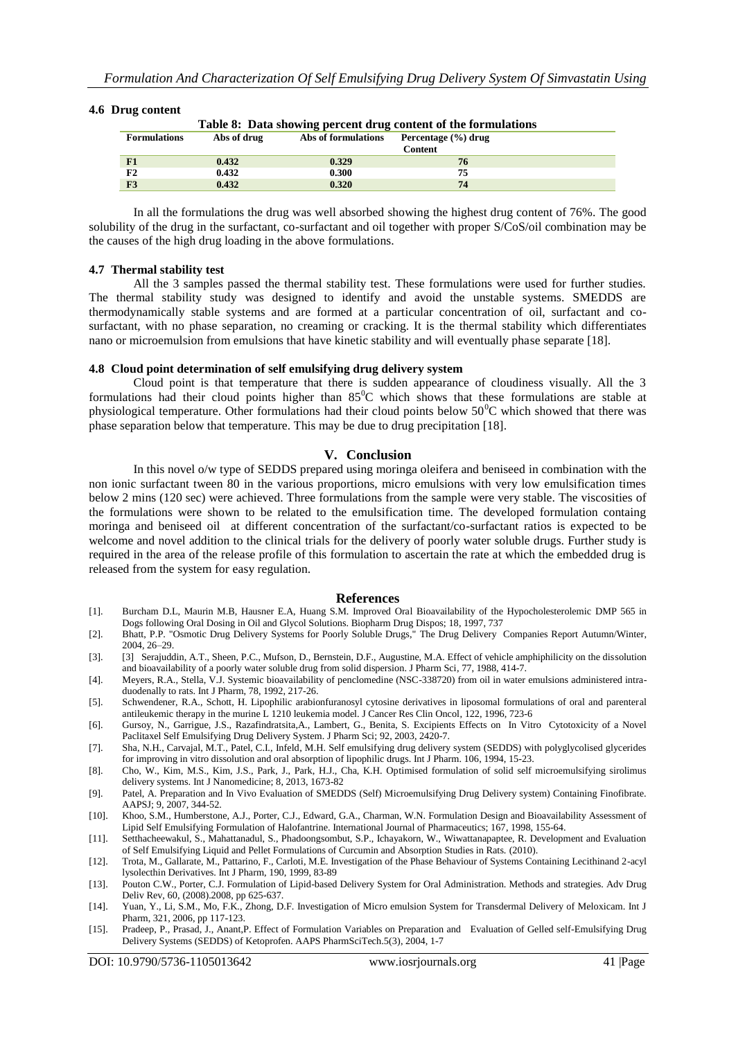#### **4.6 Drug content**

| Table 8: Data showing percent drug content of the formulations |             |                     |                     |  |  |  |
|----------------------------------------------------------------|-------------|---------------------|---------------------|--|--|--|
| <b>Formulations</b>                                            | Abs of drug | Abs of formulations | Percentage (%) drug |  |  |  |
|                                                                |             |                     | <b>Content</b>      |  |  |  |
| F1                                                             | 0.432       | 0.329               | 76                  |  |  |  |
| F2                                                             | 0.432       | 0.300               | 75                  |  |  |  |
| F3                                                             | 0.432       | 0.320               | 74                  |  |  |  |

In all the formulations the drug was well absorbed showing the highest drug content of 76%. The good solubility of the drug in the surfactant, co-surfactant and oil together with proper S/CoS/oil combination may be the causes of the high drug loading in the above formulations.

#### **4.7 Thermal stability test**

All the 3 samples passed the thermal stability test. These formulations were used for further studies. The thermal stability study was designed to identify and avoid the unstable systems. SMEDDS are thermodynamically stable systems and are formed at a particular concentration of oil, surfactant and cosurfactant, with no phase separation, no creaming or cracking. It is the thermal stability which differentiates nano or microemulsion from emulsions that have kinetic stability and will eventually phase separate [18].

#### **4.8 Cloud point determination of self emulsifying drug delivery system**

Cloud point is that temperature that there is sudden appearance of cloudiness visually. All the 3 formulations had their cloud points higher than 85<sup>0</sup>C which shows that these formulations are stable at physiological temperature. Other formulations had their cloud points below  $50^{\circ}$ C which showed that there was phase separation below that temperature. This may be due to drug precipitation [18].

#### **V. Conclusion**

In this novel o/w type of SEDDS prepared using moringa oleifera and beniseed in combination with the non ionic surfactant tween 80 in the various proportions, micro emulsions with very low emulsification times below 2 mins (120 sec) were achieved. Three formulations from the sample were very stable. The viscosities of the formulations were shown to be related to the emulsification time. The developed formulation containg moringa and beniseed oil at different concentration of the surfactant/co-surfactant ratios is expected to be welcome and novel addition to the clinical trials for the delivery of poorly water soluble drugs. Further study is required in the area of the release profile of this formulation to ascertain the rate at which the embedded drug is released from the system for easy regulation.

#### **References**

- [1]. Burcham D.L, Maurin M.B, Hausner E.A, Huang S.M. Improved Oral Bioavailability of the Hypocholesterolemic DMP 565 in Dogs following Oral Dosing in Oil and Glycol Solutions. Biopharm Drug Dispos; 18, 1997, 737
- [2]. Bhatt, P.P. "Osmotic Drug Delivery Systems for Poorly Soluble Drugs," The Drug Delivery Companies Report Autumn/Winter, 2004, 26–29.
- [3]. [3] Serajuddin, A.T., Sheen, P.C., Mufson, D., Bernstein, D.F., Augustine, M.A. Effect of vehicle amphiphilicity on the dissolution and bioavailability of a poorly water soluble drug from solid dispersion. J Pharm Sci, 77, 1988, 414-7.
- [4]. Meyers, R.A., Stella, V.J. Systemic bioavailability of penclomedine (NSC-338720) from oil in water emulsions administered intraduodenally to rats. Int J Pharm, 78, 1992, 217-26.
- [5]. Schwendener, R.A., Schott, H. Lipophilic arabionfuranosyl cytosine derivatives in liposomal formulations of oral and parenteral antileukemic therapy in the murine L 1210 leukemia model. J Cancer Res Clin Oncol, 122, 1996, 723-6
- [6]. Gursoy, N., Garrigue, J.S., Razafindratsita,A., Lambert, G., Benita, S. Excipients Effects on In Vitro Cytotoxicity of a Novel Paclitaxel Self Emulsifying Drug Delivery System. J Pharm Sci; 92, 2003, 2420-7.
- [7]. Sha, N.H., Carvajal, M.T., Patel, C.I., Infeld, M.H. Self emulsifying drug delivery system (SEDDS) with polyglycolised glycerides for improving in vitro dissolution and oral absorption of lipophilic drugs. Int J Pharm. 106, 1994, 15-23.
- [8]. Cho, W., Kim, M.S., Kim, J.S., Park, J., Park, H.J., Cha, K.H. Optimised formulation of solid self microemulsifying sirolimus delivery systems. Int J Nanomedicine; 8, 2013, 1673-82
- [9]. Patel, A. Preparation and In Vivo Evaluation of SMEDDS (Self) Microemulsifying Drug Delivery system) Containing Finofibrate. AAPSJ; 9, 2007, 344-52.
- [10]. Khoo, S.M., Humberstone, A.J., Porter, C.J., Edward, G.A., Charman, W.N. Formulation Design and Bioavailability Assessment of Lipid Self Emulsifying Formulation of Halofantrine. International Journal of Pharmaceutics; 167, 1998, 155-64.
- [11]. Setthacheewakul, S., Mahattanadul, S., Phadoongsombut, S.P., Ichayakorn, W., Wiwattanapaptee, R. Development and Evaluation of Self Emulsifying Liquid and Pellet Formulations of Curcumin and Absorption Studies in Rats. (2010).
- [12]. Trota, M., Gallarate, M., Pattarino, F., Carloti, M.E. Investigation of the Phase Behaviour of Systems Containing Lecithinand 2-acyl lysolecthin Derivatives. Int J Pharm, 190, 1999, 83-89
- [13]. Pouton C.W., Porter, C.J. Formulation of Lipid-based Delivery System for Oral Administration. Methods and strategies. Adv Drug Deliv Rev, 60, (2008).2008, pp 625-637.
- [14]. Yuan, Y., Li, S.M., Mo, F.K., Zhong, D.F. Investigation of Micro emulsion System for Transdermal Delivery of Meloxicam. Int J Pharm, 321, 2006, pp 117-123.
- [15]. Pradeep, P., Prasad, J., Anant,P. Effect of Formulation Variables on Preparation and Evaluation of Gelled self-Emulsifying Drug Delivery Systems (SEDDS) of Ketoprofen. AAPS PharmSciTech.5(3), 2004, 1-7